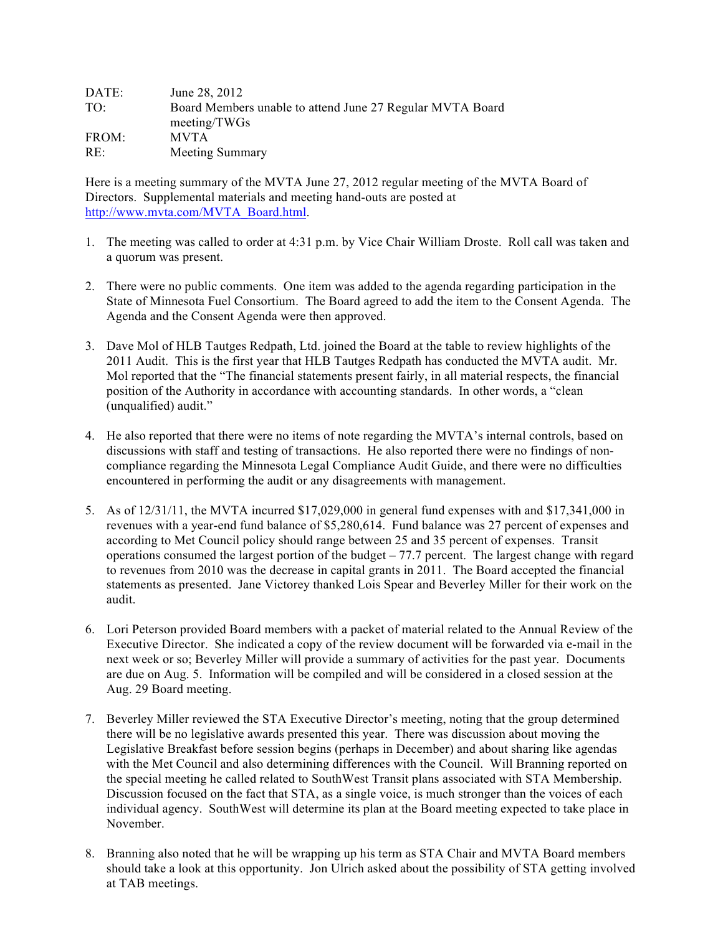| DATE:           | June 28, 2012                                                             |
|-----------------|---------------------------------------------------------------------------|
| TO <sup>1</sup> | Board Members unable to attend June 27 Regular MVTA Board<br>meeting/TWGs |
| FROM:           | <b>MVTA</b>                                                               |
| RE:             | Meeting Summary                                                           |

Here is a meeting summary of the MVTA June 27, 2012 regular meeting of the MVTA Board of Directors. Supplemental materials and meeting hand-outs are posted at http://www.mvta.com/MVTA\_Board.html.

- 1. The meeting was called to order at 4:31 p.m. by Vice Chair William Droste. Roll call was taken and a quorum was present.
- 2. There were no public comments. One item was added to the agenda regarding participation in the State of Minnesota Fuel Consortium. The Board agreed to add the item to the Consent Agenda. The Agenda and the Consent Agenda were then approved.
- 3. Dave Mol of HLB Tautges Redpath, Ltd. joined the Board at the table to review highlights of the 2011 Audit. This is the first year that HLB Tautges Redpath has conducted the MVTA audit. Mr. Mol reported that the "The financial statements present fairly, in all material respects, the financial position of the Authority in accordance with accounting standards. In other words, a "clean (unqualified) audit."
- 4. He also reported that there were no items of note regarding the MVTA's internal controls, based on discussions with staff and testing of transactions. He also reported there were no findings of noncompliance regarding the Minnesota Legal Compliance Audit Guide, and there were no difficulties encountered in performing the audit or any disagreements with management.
- 5. As of 12/31/11, the MVTA incurred \$17,029,000 in general fund expenses with and \$17,341,000 in revenues with a year-end fund balance of \$5,280,614. Fund balance was 27 percent of expenses and according to Met Council policy should range between 25 and 35 percent of expenses. Transit operations consumed the largest portion of the budget – 77.7 percent. The largest change with regard to revenues from 2010 was the decrease in capital grants in 2011. The Board accepted the financial statements as presented. Jane Victorey thanked Lois Spear and Beverley Miller for their work on the audit.
- 6. Lori Peterson provided Board members with a packet of material related to the Annual Review of the Executive Director. She indicated a copy of the review document will be forwarded via e-mail in the next week or so; Beverley Miller will provide a summary of activities for the past year. Documents are due on Aug. 5. Information will be compiled and will be considered in a closed session at the Aug. 29 Board meeting.
- 7. Beverley Miller reviewed the STA Executive Director's meeting, noting that the group determined there will be no legislative awards presented this year. There was discussion about moving the Legislative Breakfast before session begins (perhaps in December) and about sharing like agendas with the Met Council and also determining differences with the Council. Will Branning reported on the special meeting he called related to SouthWest Transit plans associated with STA Membership. Discussion focused on the fact that STA, as a single voice, is much stronger than the voices of each individual agency. SouthWest will determine its plan at the Board meeting expected to take place in November.
- 8. Branning also noted that he will be wrapping up his term as STA Chair and MVTA Board members should take a look at this opportunity. Jon Ulrich asked about the possibility of STA getting involved at TAB meetings.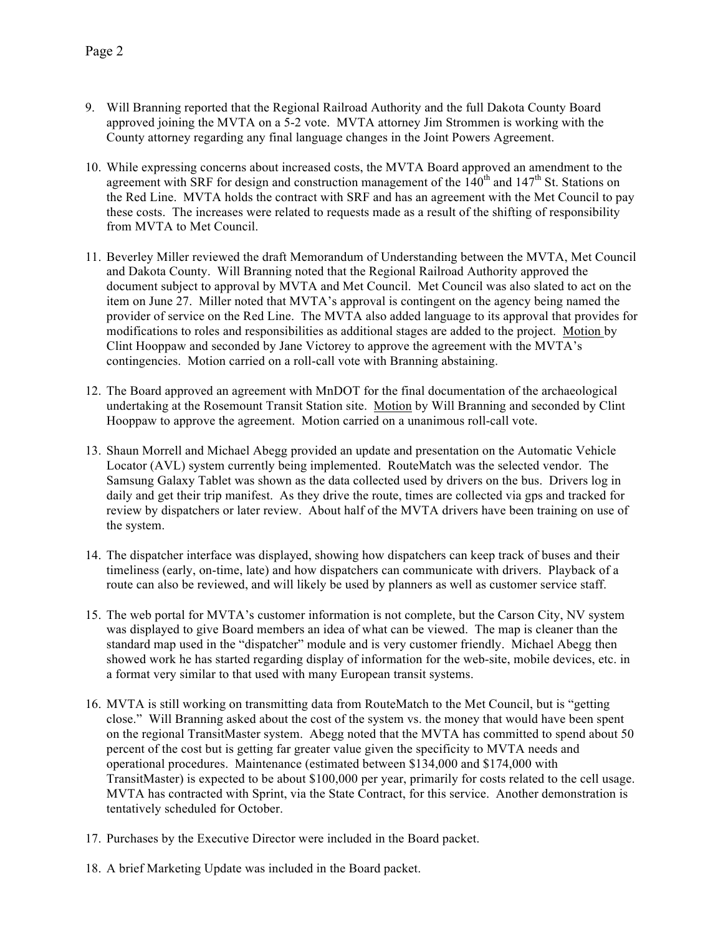- 9. Will Branning reported that the Regional Railroad Authority and the full Dakota County Board approved joining the MVTA on a 5-2 vote. MVTA attorney Jim Strommen is working with the County attorney regarding any final language changes in the Joint Powers Agreement.
- 10. While expressing concerns about increased costs, the MVTA Board approved an amendment to the agreement with SRF for design and construction management of the  $140<sup>th</sup>$  and  $147<sup>th</sup>$  St. Stations on the Red Line. MVTA holds the contract with SRF and has an agreement with the Met Council to pay these costs. The increases were related to requests made as a result of the shifting of responsibility from MVTA to Met Council.
- 11. Beverley Miller reviewed the draft Memorandum of Understanding between the MVTA, Met Council and Dakota County. Will Branning noted that the Regional Railroad Authority approved the document subject to approval by MVTA and Met Council. Met Council was also slated to act on the item on June 27. Miller noted that MVTA's approval is contingent on the agency being named the provider of service on the Red Line. The MVTA also added language to its approval that provides for modifications to roles and responsibilities as additional stages are added to the project. Motion by Clint Hooppaw and seconded by Jane Victorey to approve the agreement with the MVTA's contingencies. Motion carried on a roll-call vote with Branning abstaining.
- 12. The Board approved an agreement with MnDOT for the final documentation of the archaeological undertaking at the Rosemount Transit Station site. Motion by Will Branning and seconded by Clint Hooppaw to approve the agreement. Motion carried on a unanimous roll-call vote.
- 13. Shaun Morrell and Michael Abegg provided an update and presentation on the Automatic Vehicle Locator (AVL) system currently being implemented. RouteMatch was the selected vendor. The Samsung Galaxy Tablet was shown as the data collected used by drivers on the bus. Drivers log in daily and get their trip manifest. As they drive the route, times are collected via gps and tracked for review by dispatchers or later review. About half of the MVTA drivers have been training on use of the system.
- 14. The dispatcher interface was displayed, showing how dispatchers can keep track of buses and their timeliness (early, on-time, late) and how dispatchers can communicate with drivers. Playback of a route can also be reviewed, and will likely be used by planners as well as customer service staff.
- 15. The web portal for MVTA's customer information is not complete, but the Carson City, NV system was displayed to give Board members an idea of what can be viewed. The map is cleaner than the standard map used in the "dispatcher" module and is very customer friendly. Michael Abegg then showed work he has started regarding display of information for the web-site, mobile devices, etc. in a format very similar to that used with many European transit systems.
- 16. MVTA is still working on transmitting data from RouteMatch to the Met Council, but is "getting close." Will Branning asked about the cost of the system vs. the money that would have been spent on the regional TransitMaster system. Abegg noted that the MVTA has committed to spend about 50 percent of the cost but is getting far greater value given the specificity to MVTA needs and operational procedures. Maintenance (estimated between \$134,000 and \$174,000 with TransitMaster) is expected to be about \$100,000 per year, primarily for costs related to the cell usage. MVTA has contracted with Sprint, via the State Contract, for this service. Another demonstration is tentatively scheduled for October.
- 17. Purchases by the Executive Director were included in the Board packet.
- 18. A brief Marketing Update was included in the Board packet.